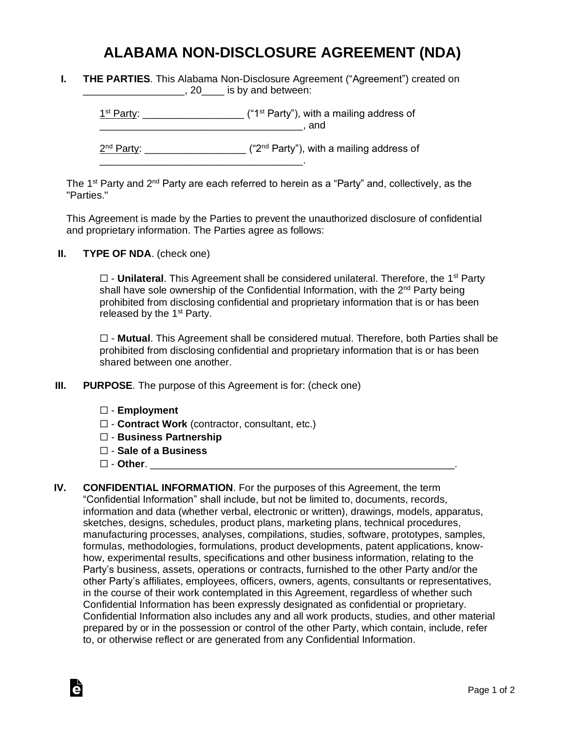## **ALABAMA NON-DISCLOSURE AGREEMENT (NDA)**

**I. THE PARTIES**. This Alabama Non-Disclosure Agreement ("Agreement") created on \_\_\_\_\_\_\_\_\_\_\_\_\_\_\_\_\_, 20\_\_\_\_\_ is by and between:

 $1<sup>st</sup> Party: _______$  $\blacksquare$  and

2<sup>nd</sup> Party: \_\_\_\_\_\_\_\_\_\_\_\_\_\_\_\_\_\_\_\_ ("2<sup>nd</sup> Party"), with a mailing address of

The 1<sup>st</sup> Party and 2<sup>nd</sup> Party are each referred to herein as a "Party" and, collectively, as the "Parties."

This Agreement is made by the Parties to prevent the unauthorized disclosure of confidential and proprietary information. The Parties agree as follows:

**II. TYPE OF NDA**. (check one)

□ - **Unilateral**. This Agreement shall be considered unilateral. Therefore, the 1<sup>st</sup> Party shall have sole ownership of the Confidential Information, with the 2<sup>nd</sup> Party being prohibited from disclosing confidential and proprietary information that is or has been released by the  $1<sup>st</sup>$  Party.

☐ - **Mutual**. This Agreement shall be considered mutual. Therefore, both Parties shall be prohibited from disclosing confidential and proprietary information that is or has been shared between one another.

**III. PURPOSE**. The purpose of this Agreement is for: (check one)

\_\_\_\_\_\_\_\_\_\_\_\_\_\_\_\_\_\_\_\_\_\_\_\_\_\_\_\_\_\_\_\_\_\_\_\_.

- ☐ **Employment**
- ☐ **Contract Work** (contractor, consultant, etc.)
- ☐ **Business Partnership**
- ☐ **Sale of a Business**
- ☐ **Other**. \_\_\_\_\_\_\_\_\_\_\_\_\_\_\_\_\_\_\_\_\_\_\_\_\_\_\_\_\_\_\_\_\_\_\_\_\_\_\_\_\_\_\_\_\_\_\_\_\_\_\_\_\_\_.

Ġ

**IV. CONFIDENTIAL INFORMATION**. For the purposes of this Agreement, the term "Confidential Information" shall include, but not be limited to, documents, records, information and data (whether verbal, electronic or written), drawings, models, apparatus, sketches, designs, schedules, product plans, marketing plans, technical procedures, manufacturing processes, analyses, compilations, studies, software, prototypes, samples, formulas, methodologies, formulations, product developments, patent applications, knowhow, experimental results, specifications and other business information, relating to the Party's business, assets, operations or contracts, furnished to the other Party and/or the other Party's affiliates, employees, officers, owners, agents, consultants or representatives, in the course of their work contemplated in this Agreement, regardless of whether such Confidential Information has been expressly designated as confidential or proprietary. Confidential Information also includes any and all work products, studies, and other material prepared by or in the possession or control of the other Party, which contain, include, refer to, or otherwise reflect or are generated from any Confidential Information.